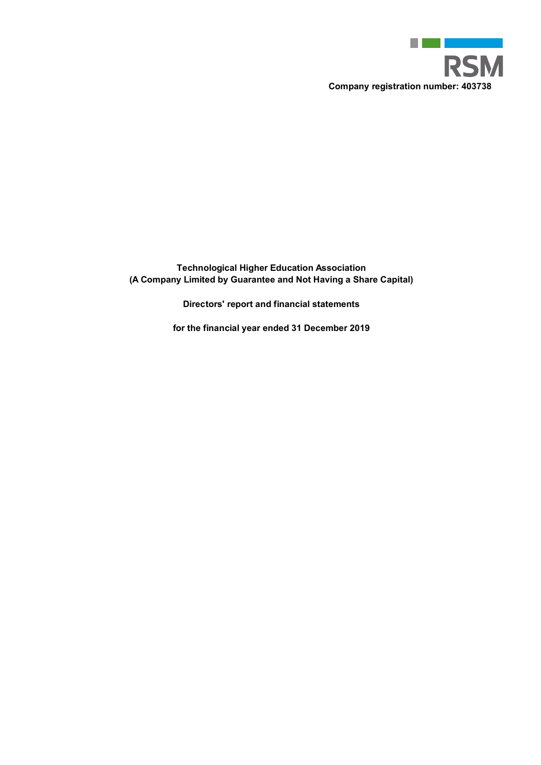

**Directors' report and financial statements**

**for the financial year ended 31 December 2019**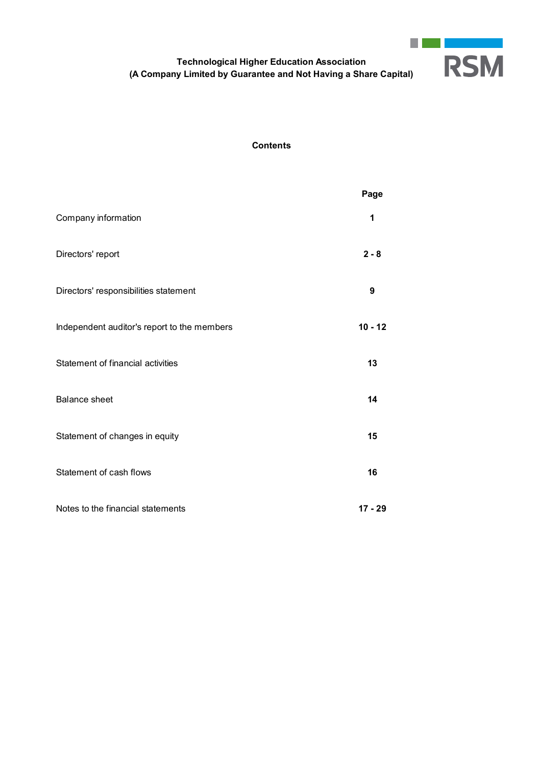**Technological Higher Education Association FREE CONSERVING THE COMPANY OF A COMPANY CONSERVING A COMPANY LIMITED STANDARY COMPANY CONSERVING A COMPANY CONSERVING A COMPANY CONSERVING A COMPANY CONSERVING A COMPANY CONSERVING A CONSERVING A CONSERVING A SHARE CAPIT** 



# **Contents**

|                                             | Page      |
|---------------------------------------------|-----------|
| Company information                         | 1         |
| Directors' report                           | $2 - 8$   |
| Directors' responsibilities statement       | 9         |
| Independent auditor's report to the members | $10 - 12$ |
| Statement of financial activities           | 13        |
| <b>Balance sheet</b>                        | 14        |
| Statement of changes in equity              | 15        |
| Statement of cash flows                     | 16        |
| Notes to the financial statements           | 17 - 29   |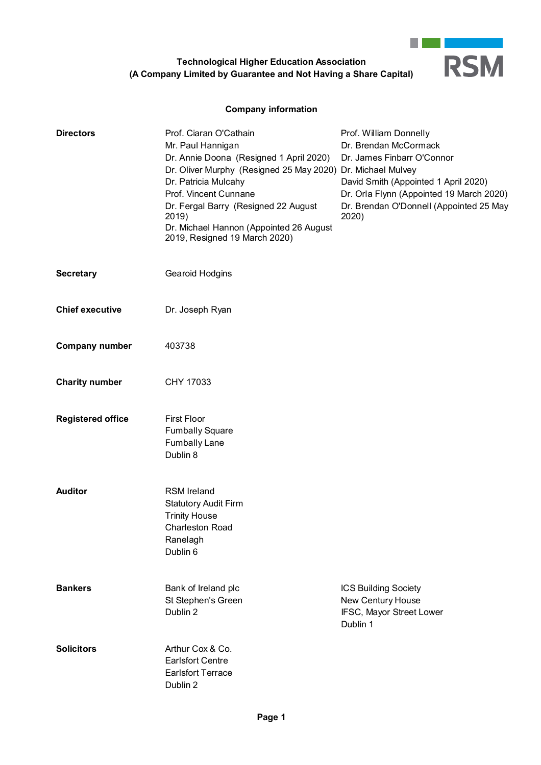

# **Company information**

| <b>Directors</b>         | Prof. Ciaran O'Cathain<br>Mr. Paul Hannigan<br>Dr. Annie Doona (Resigned 1 April 2020)<br>Dr. Oliver Murphy (Resigned 25 May 2020) Dr. Michael Mulvey<br>Dr. Patricia Mulcahy<br>Prof. Vincent Cunnane<br>Dr. Fergal Barry (Resigned 22 August<br>2019)<br>Dr. Michael Hannon (Appointed 26 August<br>2019, Resigned 19 March 2020) | Prof. William Donnelly<br>Dr. Brendan McCormack<br>Dr. James Finbarr O'Connor<br>David Smith (Appointed 1 April 2020)<br>Dr. Orla Flynn (Appointed 19 March 2020)<br>Dr. Brendan O'Donnell (Appointed 25 May<br>2020) |
|--------------------------|-------------------------------------------------------------------------------------------------------------------------------------------------------------------------------------------------------------------------------------------------------------------------------------------------------------------------------------|-----------------------------------------------------------------------------------------------------------------------------------------------------------------------------------------------------------------------|
| <b>Secretary</b>         | Gearoid Hodgins                                                                                                                                                                                                                                                                                                                     |                                                                                                                                                                                                                       |
| <b>Chief executive</b>   | Dr. Joseph Ryan                                                                                                                                                                                                                                                                                                                     |                                                                                                                                                                                                                       |
| Company number           | 403738                                                                                                                                                                                                                                                                                                                              |                                                                                                                                                                                                                       |
| <b>Charity number</b>    | CHY 17033                                                                                                                                                                                                                                                                                                                           |                                                                                                                                                                                                                       |
| <b>Registered office</b> | <b>First Floor</b><br><b>Fumbally Square</b><br><b>Fumbally Lane</b><br>Dublin 8                                                                                                                                                                                                                                                    |                                                                                                                                                                                                                       |
| <b>Auditor</b>           | <b>RSM</b> Ireland<br><b>Statutory Audit Firm</b><br><b>Trinity House</b><br><b>Charleston Road</b><br>Ranelagh<br>Dublin 6                                                                                                                                                                                                         |                                                                                                                                                                                                                       |
| <b>Bankers</b>           | Bank of Ireland plc<br>St Stephen's Green<br>Dublin 2                                                                                                                                                                                                                                                                               | <b>ICS Building Society</b><br>New Century House<br>IFSC, Mayor Street Lower<br>Dublin 1                                                                                                                              |
| <b>Solicitors</b>        | Arthur Cox & Co.<br><b>Earlsfort Centre</b><br><b>Earlsfort Terrace</b><br>Dublin 2                                                                                                                                                                                                                                                 |                                                                                                                                                                                                                       |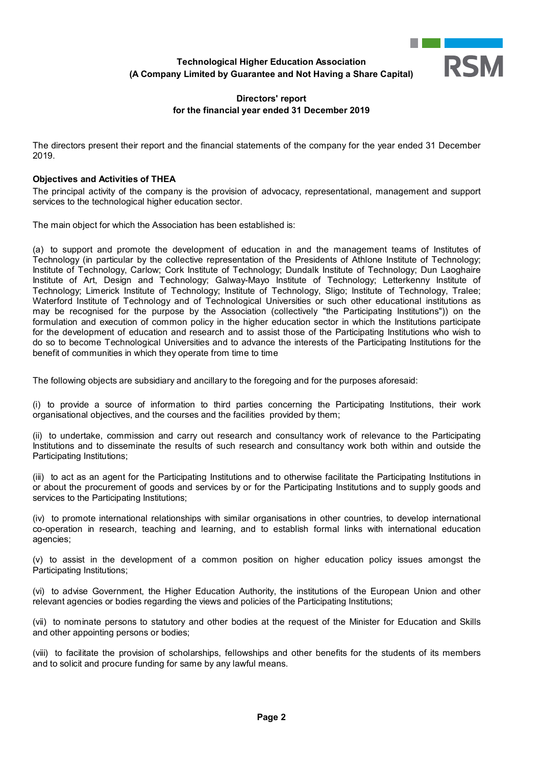

# **Directors' report for the financial year ended 31 December 2019**

The directors present their report and the financial statements of the company for the year ended 31 December 2019.

### **Objectives and Activities of THEA**

The principal activity of the company is the provision of advocacy, representational, management and support services to the technological higher education sector.

The main object for which the Association has been established is:

(a) to support and promote the development of education in and the management teams of Institutes of Technology (in particular by the collective representation of the Presidents of Athlone Institute of Technology; Institute of Technology, Carlow; Cork Institute of Technology; Dundalk Institute of Technology; Dun Laoghaire Institute of Art, Design and Technology; Galway-Mayo Institute of Technology; Letterkenny Institute of Technology; Limerick Institute of Technology; Institute of Technology, Sligo; Institute of Technology, Tralee; Waterford Institute of Technology and of Technological Universities or such other educational institutions as may be recognised for the purpose by the Association (collectively "the Participating Institutions")) on the formulation and execution of common policy in the higher education sector in which the Institutions participate for the development of education and research and to assist those of the Participating Institutions who wish to do so to become Technological Universities and to advance the interests of the Participating Institutions for the benefit of communities in which they operate from time to time

The following objects are subsidiary and ancillary to the foregoing and for the purposes aforesaid:

(i) to provide a source of information to third parties concerning the Participating Institutions, their work organisational objectives, and the courses and the facilities provided by them;

(ii) to undertake, commission and carry out research and consultancy work of relevance to the Participating Institutions and to disseminate the results of such research and consultancy work both within and outside the Participating Institutions;

(iii) to act as an agent for the Participating Institutions and to otherwise facilitate the Participating Institutions in or about the procurement of goods and services by or for the Participating Institutions and to supply goods and services to the Participating Institutions;

(iv) to promote international relationships with similar organisations in other countries, to develop international co-operation in research, teaching and learning, and to establish formal links with international education agencies;

(v) to assist in the development of a common position on higher education policy issues amongst the Participating Institutions;

(vi) to advise Government, the Higher Education Authority, the institutions of the European Union and other relevant agencies or bodies regarding the views and policies of the Participating Institutions;

(vii) to nominate persons to statutory and other bodies at the request of the Minister for Education and Skills and other appointing persons or bodies;

(viii) to facilitate the provision of scholarships, fellowships and other benefits for the students of its members and to solicit and procure funding for same by any lawful means.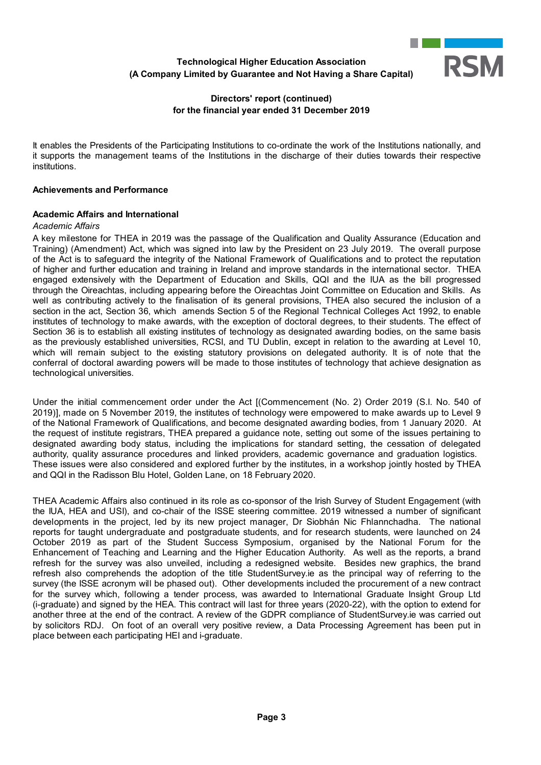

# **Directors' report (continued) for the financial year ended 31 December 2019**

It enables the Presidents of the Participating Institutions to co-ordinate the work of the Institutions nationally, and it supports the management teams of the Institutions in the discharge of their duties towards their respective institutions.

#### **Achievements and Performance**

#### **Academic Affairs and International**

#### *Academic Affairs*

A key milestone for THEA in 2019 was the passage of the Qualification and Quality Assurance (Education and Training) (Amendment) Act, which was signed into law by the President on 23 July 2019. The overall purpose of the Act is to safeguard the integrity of the National Framework of Qualifications and to protect the reputation of higher and further education and training in Ireland and improve standards in the international sector. THEA engaged extensively with the Department of Education and Skills, QQI and the IUA as the bill progressed through the Oireachtas, including appearing before the Oireachtas Joint Committee on Education and Skills. As well as contributing actively to the finalisation of its general provisions, THEA also secured the inclusion of a section in the act, Section 36, which amends Section 5 of the Regional Technical Colleges Act 1992, to enable institutes of technology to make awards, with the exception of doctoral degrees, to their students. The effect of Section 36 is to establish all existing institutes of technology as designated awarding bodies, on the same basis as the previously established universities, RCSI, and TU Dublin, except in relation to the awarding at Level 10, which will remain subject to the existing statutory provisions on delegated authority. It is of note that the conferral of doctoral awarding powers will be made to those institutes of technology that achieve designation as technological universities.

Under the initial commencement order under the Act [(Commencement (No. 2) Order 2019 (S.I. No. 540 of 2019)], made on 5 November 2019, the institutes of technology were empowered to make awards up to Level 9 of the National Framework of Qualifications, and become designated awarding bodies, from 1 January 2020. At the request of institute registrars, THEA prepared a guidance note, setting out some of the issues pertaining to designated awarding body status, including the implications for standard setting, the cessation of delegated authority, quality assurance procedures and linked providers, academic governance and graduation logistics. These issues were also considered and explored further by the institutes, in a workshop jointly hosted by THEA and QQI in the Radisson Blu Hotel, Golden Lane, on 18 February 2020.

THEA Academic Affairs also continued in its role as co-sponsor of the Irish Survey of Student Engagement (with the IUA, HEA and USI), and co-chair of the ISSE steering committee. 2019 witnessed a number of significant developments in the project, led by its new project manager, Dr Siobhán Nic Fhlannchadha. The national reports for taught undergraduate and postgraduate students, and for research students, were launched on 24 October 2019 as part of the Student Success Symposium, organised by the National Forum for the Enhancement of Teaching and Learning and the Higher Education Authority. As well as the reports, a brand refresh for the survey was also unveiled, including a redesigned website. Besides new graphics, the brand refresh also comprehends the adoption of the title StudentSurvey.ie as the principal way of referring to the survey (the ISSE acronym will be phased out). Other developments included the procurement of a new contract for the survey which, following a tender process, was awarded to International Graduate Insight Group Ltd (i-graduate) and signed by the HEA. This contract will last for three years (2020-22), with the option to extend for another three at the end of the contract. A review of the GDPR compliance of StudentSurvey.ie was carried out by solicitors RDJ. On foot of an overall very positive review, a Data Processing Agreement has been put in place between each participating HEI and i-graduate.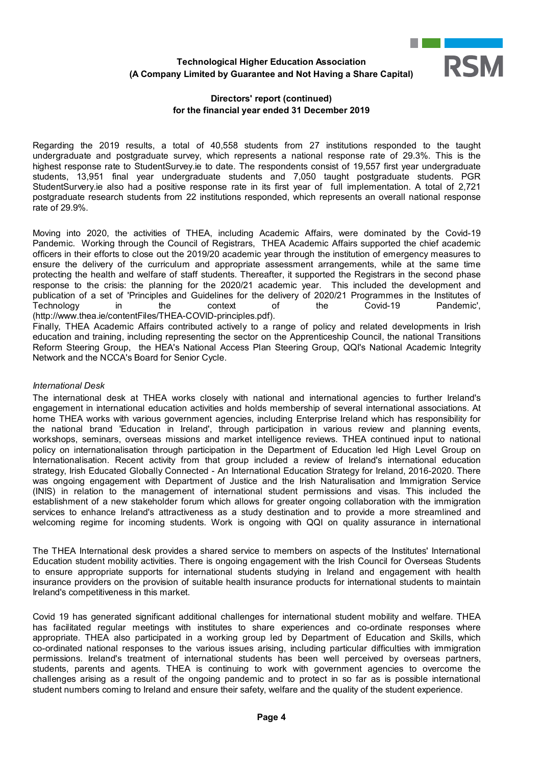

# **Directors' report (continued) for the financial year ended 31 December 2019**

Regarding the 2019 results, a total of 40,558 students from 27 institutions responded to the taught undergraduate and postgraduate survey, which represents a national response rate of 29.3%. This is the highest response rate to StudentSurvey.ie to date. The respondents consist of 19,557 first year undergraduate students, 13,951 final year undergraduate students and 7,050 taught postgraduate students. PGR StudentSurvery.ie also had a positive response rate in its first year of full implementation. A total of 2,721 postgraduate research students from 22 institutions responded, which represents an overall national response rate of 29.9%.

Moving into 2020, the activities of THEA, including Academic Affairs, were dominated by the Covid-19 Pandemic. Working through the Council of Registrars, THEA Academic Affairs supported the chief academic officers in their efforts to close out the 2019/20 academic year through the institution of emergency measures to ensure the delivery of the curriculum and appropriate assessment arrangements, while at the same time protecting the health and welfare of staff students. Thereafter, it supported the Registrars in the second phase response to the crisis: the planning for the 2020/21 academic year. This included the development and publication of a set of 'Principles and Guidelines for the delivery of 2020/21 Programmes in the Institutes of Technology in the context of the Covid-19 Pandemic', (http://www.thea.ie/contentFiles/THEA-COVID-principles.pdf).

Finally, THEA Academic Affairs contributed actively to a range of policy and related developments in Irish education and training, including representing the sector on the Apprenticeship Council, the national Transitions Reform Steering Group, the HEA's National Access Plan Steering Group, QQI's National Academic Integrity Network and the NCCA's Board for Senior Cycle.

#### *International Desk*

The international desk at THEA works closely with national and international agencies to further Ireland's engagement in international education activities and holds membership of several international associations. At home THEA works with various government agencies, including Enterprise Ireland which has responsibility for the national brand 'Education in Ireland', through participation in various review and planning events, workshops, seminars, overseas missions and market intelligence reviews. THEA continued input to national policy on internationalisation through participation in the Department of Education led High Level Group on Internationalisation. Recent activity from that group included a review of Ireland's international education strategy, Irish Educated Globally Connected - An International Education Strategy for Ireland, 2016-2020. There was ongoing engagement with Department of Justice and the Irish Naturalisation and Immigration Service (INIS) in relation to the management of international student permissions and visas. This included the establishment of a new stakeholder forum which allows for greater ongoing collaboration with the immigration services to enhance Ireland's attractiveness as a study destination and to provide a more streamlined and welcoming regime for incoming students. Work is ongoing with QQI on quality assurance in international

The THEA International desk provides a shared service to members on aspects of the Institutes' International Education student mobility activities. There is ongoing engagement with the Irish Council for Overseas Students to ensure appropriate supports for international students studying in Ireland and engagement with health insurance providers on the provision of suitable health insurance products for international students to maintain Ireland's competitiveness in this market.

Covid 19 has generated significant additional challenges for international student mobility and welfare. THEA has facilitated regular meetings with institutes to share experiences and co-ordinate responses where appropriate. THEA also participated in a working group led by Department of Education and Skills, which co-ordinated national responses to the various issues arising, including particular difficulties with immigration permissions. Ireland's treatment of international students has been well perceived by overseas partners, students, parents and agents. THEA is continuing to work with government agencies to overcome the challenges arising as a result of the ongoing pandemic and to protect in so far as is possible international student numbers coming to Ireland and ensure their safety, welfare and the quality of the student experience.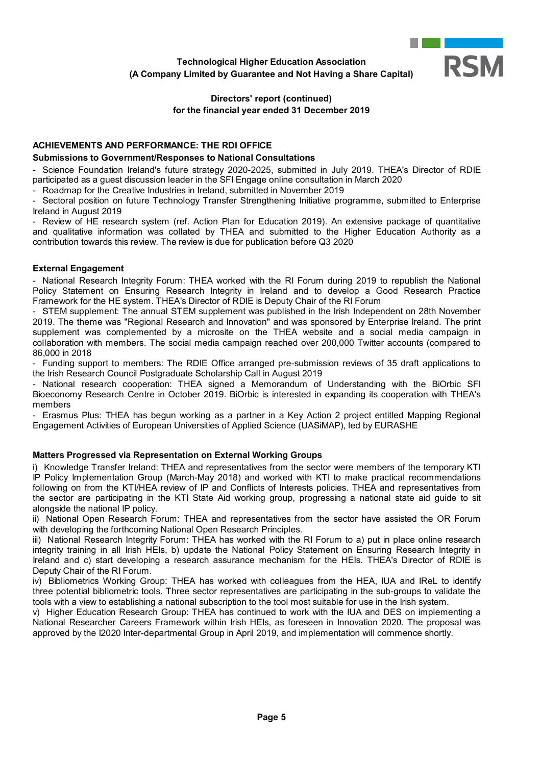

# **Directors' report (continued) for the financial year ended 31 December 2019**

# **ACHIEVEMENTS AND PERFORMANCE: THE RDI OFFICE**

### **Submissions to Government/Responses to National Consultations**

- Science Foundation Ireland's future strategy 2020-2025, submitted in July 2019. THEA's Director of RDIE participated as a guest discussion leader in the SFI Engage online consultation in March 2020

- Roadmap for the Creative Industries in Ireland, submitted in November 2019

- Sectoral position on future Technology Transfer Strengthening Initiative programme, submitted to Enterprise Ireland in August 2019

- Review of HE research system (ref. Action Plan for Education 2019). An extensive package of quantitative and qualitative information was collated by THEA and submitted to the Higher Education Authority as a contribution towards this review. The review is due for publication before Q3 2020

#### **External Engagement**

- National Research Integrity Forum: THEA worked with the RI Forum during 2019 to republish the National Policy Statement on Ensuring Research Integrity in Ireland and to develop a Good Research Practice Framework for the HE system. THEA's Director of RDIE is Deputy Chair of the RI Forum

STEM supplement: The annual STEM supplement was published in the Irish Independent on 28th November 2019. The theme was "Regional Research and Innovation" and was sponsored by Enterprise Ireland. The print supplement was complemented by a microsite on the THEA website and a social media campaign in collaboration with members. The social media campaign reached over 200,000 Twitter accounts (compared to 86,000 in 2018

- Funding support to members: The RDIE Office arranged pre-submission reviews of 35 draft applications to the Irish Research Council Postgraduate Scholarship Call in August 2019

- National research cooperation: THEA signed a Memorandum of Understanding with the BiOrbic SFI Bioeconomy Research Centre in October 2019. BiOrbic is interested in expanding its cooperation with THEA's members

- Erasmus Plus: THEA has begun working as a partner in a Key Action 2 project entitled Mapping Regional Engagement Activities of European Universities of Applied Science (UASiMAP), led by EURASHE

# **Matters Progressed via Representation on External Working Groups**

i) Knowledge Transfer Ireland: THEA and representatives from the sector were members of the temporary KTI IP Policy Implementation Group (March-May 2018) and worked with KTI to make practical recommendations following on from the KTI/HEA review of IP and Conflicts of Interests policies. THEA and representatives from the sector are participating in the KTI State Aid working group, progressing a national state aid guide to sit alongside the national IP policy.

ii) National Open Research Forum: THEA and representatives from the sector have assisted the OR Forum with developing the forthcoming National Open Research Principles.

iii) National Research Integrity Forum: THEA has worked with the RI Forum to a) put in place online research integrity training in all Irish HEIs, b) update the National Policy Statement on Ensuring Research Integrity in Ireland and c) start developing a research assurance mechanism for the HEIs. THEA's Director of RDIE is Deputy Chair of the RI Forum.

iv) Bibliometrics Working Group: THEA has worked with colleagues from the HEA, IUA and IReL to identify three potential bibliometric tools. Three sector representatives are participating in the sub-groups to validate the tools with a view to establishing a national subscription to the tool most suitable for use in the Irish system.

v) Higher Education Research Group: THEA has continued to work with the IUA and DES on implementing a National Researcher Careers Framework within Irish HEIs, as foreseen in Innovation 2020. The proposal was approved by the I2020 Inter-departmental Group in April 2019, and implementation will commence shortly.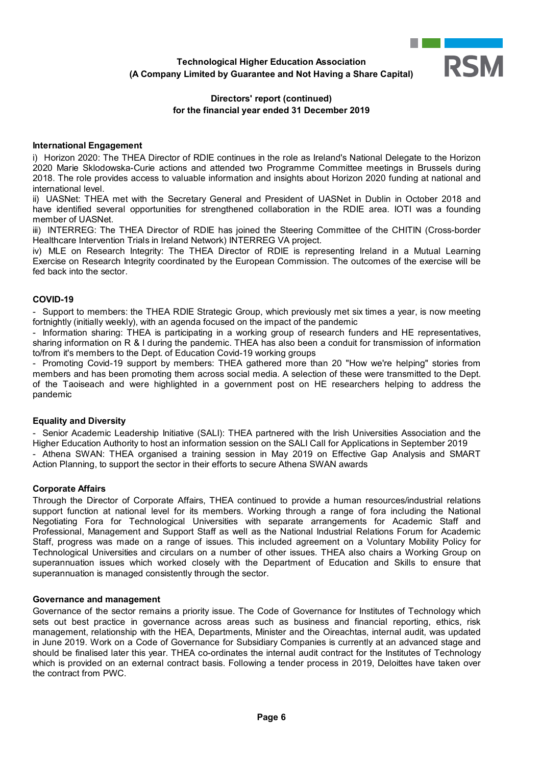

# **Directors' report (continued) for the financial year ended 31 December 2019**

#### **International Engagement**

i) Horizon 2020: The THEA Director of RDIE continues in the role as Ireland's National Delegate to the Horizon 2020 Marie Sklodowska-Curie actions and attended two Programme Committee meetings in Brussels during 2018. The role provides access to valuable information and insights about Horizon 2020 funding at national and international level.

ii) UASNet: THEA met with the Secretary General and President of UASNet in Dublin in October 2018 and have identified several opportunities for strengthened collaboration in the RDIE area. IOTI was a founding member of UASNet.

iii) INTERREG: The THEA Director of RDIE has joined the Steering Committee of the CHITIN (Cross-border Healthcare Intervention Trials in Ireland Network) INTERREG VA project.

iv) MLE on Research Integrity: The THEA Director of RDIE is representing Ireland in a Mutual Learning Exercise on Research Integrity coordinated by the European Commission. The outcomes of the exercise will be fed back into the sector.

#### **COVID-19**

- Support to members: the THEA RDIE Strategic Group, which previously met six times a year, is now meeting fortnightly (initially weekly), with an agenda focused on the impact of the pandemic

- Information sharing: THEA is participating in a working group of research funders and HE representatives, sharing information on R & I during the pandemic. THEA has also been a conduit for transmission of information to/from it's members to the Dept. of Education Covid-19 working groups

- Promoting Covid-19 support by members: THEA gathered more than 20 "How we're helping" stories from members and has been promoting them across social media. A selection of these were transmitted to the Dept. of the Taoiseach and were highlighted in a government post on HE researchers helping to address the pandemic

# **Equality and Diversity**

- Senior Academic Leadership Initiative (SALI): THEA partnered with the Irish Universities Association and the Higher Education Authority to host an information session on the SALI Call for Applications in September 2019 Athena SWAN: THEA organised a training session in May 2019 on Effective Gap Analysis and SMART

Action Planning, to support the sector in their efforts to secure Athena SWAN awards

# **Corporate Affairs**

Through the Director of Corporate Affairs, THEA continued to provide a human resources/industrial relations support function at national level for its members. Working through a range of fora including the National Negotiating Fora for Technological Universities with separate arrangements for Academic Staff and Professional, Management and Support Staff as well as the National Industrial Relations Forum for Academic Staff, progress was made on a range of issues. This included agreement on a Voluntary Mobility Policy for Technological Universities and circulars on a number of other issues. THEA also chairs a Working Group on superannuation issues which worked closely with the Department of Education and Skills to ensure that superannuation is managed consistently through the sector.

#### **Governance and management**

Governance of the sector remains a priority issue. The Code of Governance for Institutes of Technology which sets out best practice in governance across areas such as business and financial reporting, ethics, risk management, relationship with the HEA, Departments, Minister and the Oireachtas, internal audit, was updated in June 2019. Work on a Code of Governance for Subsidiary Companies is currently at an advanced stage and should be finalised later this year. THEA co-ordinates the internal audit contract for the Institutes of Technology which is provided on an external contract basis. Following a tender process in 2019, Deloittes have taken over the contract from PWC.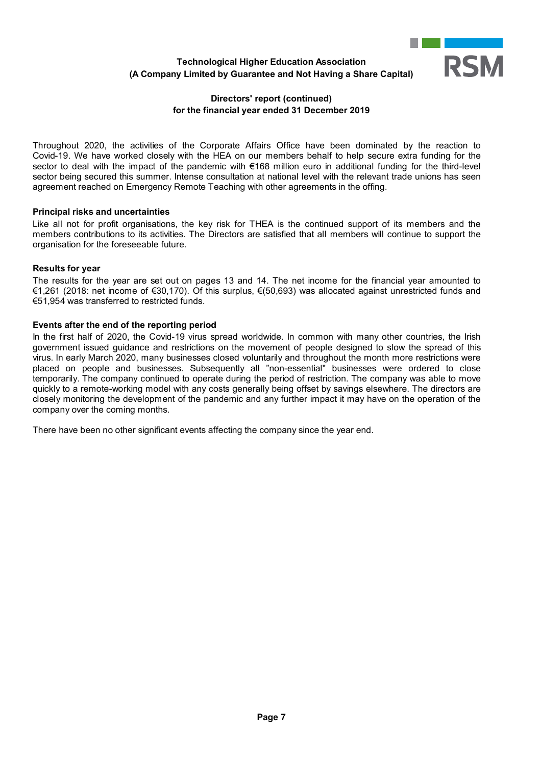

# **Directors' report (continued) for the financial year ended 31 December 2019**

Throughout 2020, the activities of the Corporate Affairs Office have been dominated by the reaction to Covid-19. We have worked closely with the HEA on our members behalf to help secure extra funding for the sector to deal with the impact of the pandemic with €168 million euro in additional funding for the third-level sector being secured this summer. Intense consultation at national level with the relevant trade unions has seen agreement reached on Emergency Remote Teaching with other agreements in the offing.

#### **Principal risks and uncertainties**

Like all not for profit organisations, the key risk for THEA is the continued support of its members and the members contributions to its activities. The Directors are satisfied that all members will continue to support the organisation for the foreseeable future.

#### **Results for year**

The results for the year are set out on pages 13 and 14. The net income for the financial year amounted to €1,261 (2018: net income of €30,170). Of this surplus, €(50,693) was allocated against unrestricted funds and €51,954 was transferred to restricted funds.

# **Events after the end of the reporting period**

In the first half of 2020, the Covid-19 virus spread worldwide. In common with many other countries, the Irish government issued guidance and restrictions on the movement of people designed to slow the spread of this virus. In early March 2020, many businesses closed voluntarily and throughout the month more restrictions were placed on people and businesses. Subsequently all "non-essential" businesses were ordered to close temporarily. The company continued to operate during the period of restriction. The company was able to move quickly to a remote-working model with any costs generally being offset by savings elsewhere. The directors are closely monitoring the development of the pandemic and any further impact it may have on the operation of the company over the coming months.

There have been no other significant events affecting the company since the year end.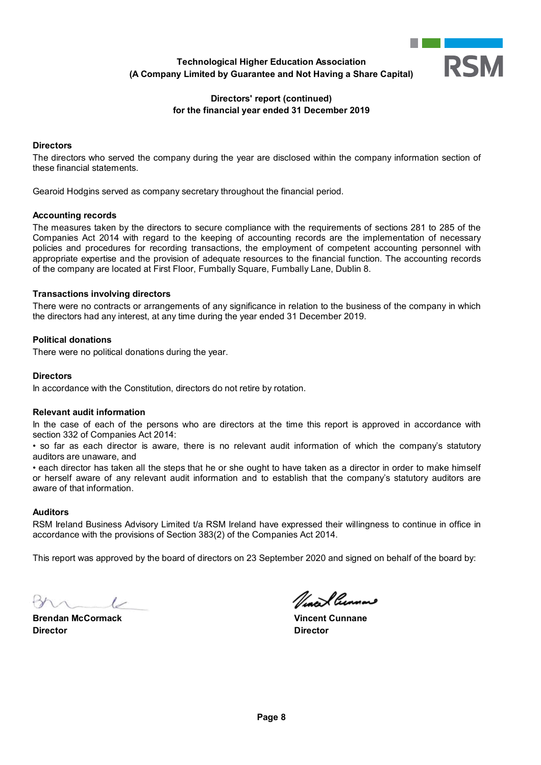

# **Directors' report (continued) for the financial year ended 31 December 2019**

# **Directors**

The directors who served the company during the year are disclosed within the company information section of these financial statements.

Gearoid Hodgins served as company secretary throughout the financial period.

# **Accounting records**

The measures taken by the directors to secure compliance with the requirements of sections 281 to 285 of the Companies Act 2014 with regard to the keeping of accounting records are the implementation of necessary policies and procedures for recording transactions, the employment of competent accounting personnel with appropriate expertise and the provision of adequate resources to the financial function. The accounting records of the company are located at First Floor, Fumbally Square, Fumbally Lane, Dublin 8.

# **Transactions involving directors**

There were no contracts or arrangements of any significance in relation to the business of the company in which the directors had any interest, at any time during the year ended 31 December 2019.

#### **Political donations**

There were no political donations during the year.

#### **Directors**

In accordance with the Constitution, directors do not retire by rotation.

# **Relevant audit information**

In the case of each of the persons who are directors at the time this report is approved in accordance with section 332 of Companies Act 2014:

• so far as each director is aware, there is no relevant audit information of which the company's statutory auditors are unaware, and

• each director has taken all the steps that he or she ought to have taken as a director in order to make himself or herself aware of any relevant audit information and to establish that the company's statutory auditors are aware of that information.

# **Auditors**

RSM Ireland Business Advisory Limited t/a RSM Ireland have expressed their willingness to continue in office in accordance with the provisions of Section 383(2) of the Companies Act 2014.

This report was approved by the board of directors on 23 September 2020 and signed on behalf of the board by:

 $Br_{\Lambda}$  1

**Brendan McCormack Vincent Cunnane Director Director**

Vince Lammano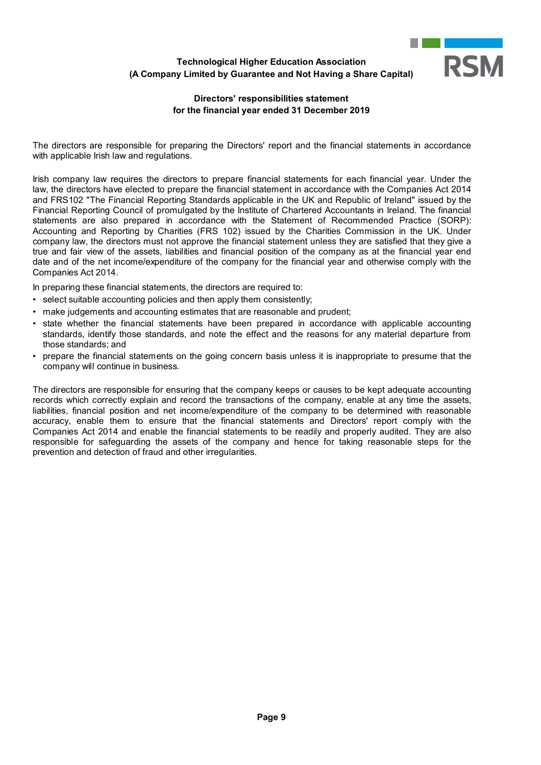

# **Directors' responsibilities statement for the financial year ended 31 December 2019**

The directors are responsible for preparing the Directors' report and the financial statements in accordance with applicable Irish law and regulations.

Irish company law requires the directors to prepare financial statements for each financial year. Under the law, the directors have elected to prepare the financial statement in accordance with the Companies Act 2014 and FRS102 "The Financial Reporting Standards applicable in the UK and Republic of Ireland" issued by the Financial Reporting Council of promulgated by the Institute of Chartered Accountants in Ireland. The financial statements are also prepared in accordance with the Statement of Recommended Practice (SORP): Accounting and Reporting by Charities (FRS 102) issued by the Charities Commission in the UK. Under company law, the directors must not approve the financial statement unless they are satisfied that they give a true and fair view of the assets, liabilities and financial position of the company as at the financial year end date and of the net income/expenditure of the company for the financial year and otherwise comply with the Companies Act 2014.

In preparing these financial statements, the directors are required to:

- select suitable accounting policies and then apply them consistently;
- make judgements and accounting estimates that are reasonable and prudent;
- state whether the financial statements have been prepared in accordance with applicable accounting standards, identify those standards, and note the effect and the reasons for any material departure from those standards; and
- prepare the financial statements on the going concern basis unless it is inappropriate to presume that the company will continue in business.

The directors are responsible for ensuring that the company keeps or causes to be kept adequate accounting records which correctly explain and record the transactions of the company, enable at any time the assets, liabilities, financial position and net income/expenditure of the company to be determined with reasonable accuracy, enable them to ensure that the financial statements and Directors' report comply with the Companies Act 2014 and enable the financial statements to be readily and properly audited. They are also responsible for safeguarding the assets of the company and hence for taking reasonable steps for the prevention and detection of fraud and other irregularities.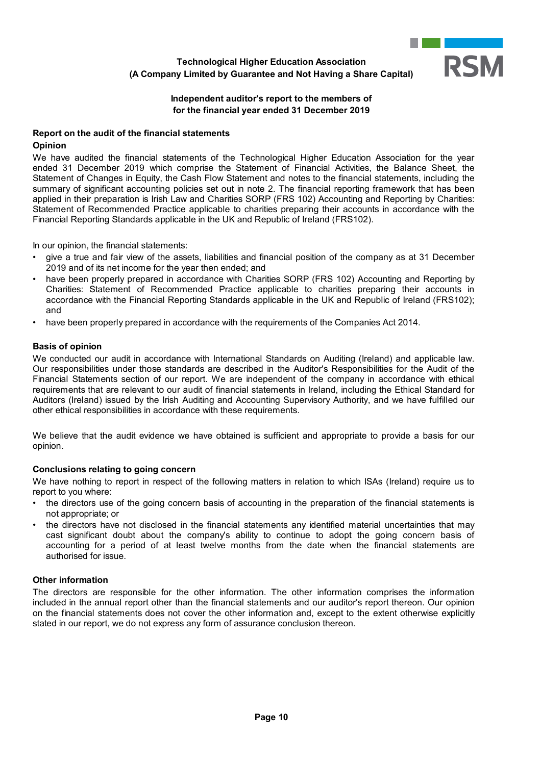

# **Independent auditor's report to the members of for the financial year ended 31 December 2019**

# **Report on the audit of the financial statements**

# **Opinion**

We have audited the financial statements of the Technological Higher Education Association for the year ended 31 December 2019 which comprise the Statement of Financial Activities, the Balance Sheet, the Statement of Changes in Equity, the Cash Flow Statement and notes to the financial statements, including the summary of significant accounting policies set out in note 2. The financial reporting framework that has been applied in their preparation is Irish Law and Charities SORP (FRS 102) Accounting and Reporting by Charities: Statement of Recommended Practice applicable to charities preparing their accounts in accordance with the Financial Reporting Standards applicable in the UK and Republic of Ireland (FRS102).

In our opinion, the financial statements:

- give a true and fair view of the assets, liabilities and financial position of the company as at 31 December 2019 and of its net income for the year then ended; and
- have been properly prepared in accordance with Charities SORP (FRS 102) Accounting and Reporting by Charities: Statement of Recommended Practice applicable to charities preparing their accounts in accordance with the Financial Reporting Standards applicable in the UK and Republic of Ireland (FRS102); and
- have been properly prepared in accordance with the requirements of the Companies Act 2014.

#### **Basis of opinion**

We conducted our audit in accordance with International Standards on Auditing (Ireland) and applicable law. Our responsibilities under those standards are described in the Auditor's Responsibilities for the Audit of the Financial Statements section of our report. We are independent of the company in accordance with ethical requirements that are relevant to our audit of financial statements in Ireland, including the Ethical Standard for Auditors (Ireland) issued by the Irish Auditing and Accounting Supervisory Authority, and we have fulfilled our other ethical responsibilities in accordance with these requirements.

We believe that the audit evidence we have obtained is sufficient and appropriate to provide a basis for our opinion.

# **Conclusions relating to going concern**

We have nothing to report in respect of the following matters in relation to which ISAs (Ireland) require us to report to you where:

- the directors use of the going concern basis of accounting in the preparation of the financial statements is not appropriate; or
- the directors have not disclosed in the financial statements any identified material uncertainties that may cast significant doubt about the company's ability to continue to adopt the going concern basis of accounting for a period of at least twelve months from the date when the financial statements are authorised for issue.

# **Other information**

The directors are responsible for the other information. The other information comprises the information included in the annual report other than the financial statements and our auditor's report thereon. Our opinion on the financial statements does not cover the other information and, except to the extent otherwise explicitly stated in our report, we do not express any form of assurance conclusion thereon.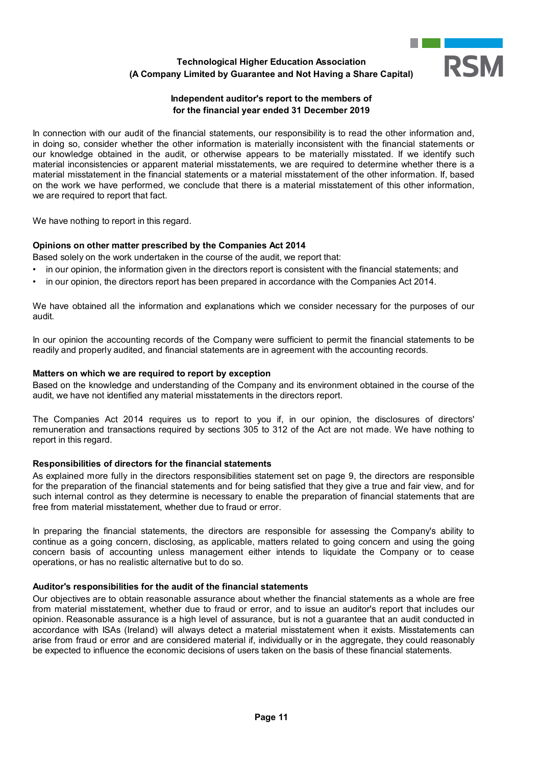

# **Independent auditor's report to the members of for the financial year ended 31 December 2019**

In connection with our audit of the financial statements, our responsibility is to read the other information and, in doing so, consider whether the other information is materially inconsistent with the financial statements or our knowledge obtained in the audit, or otherwise appears to be materially misstated. If we identify such material inconsistencies or apparent material misstatements, we are required to determine whether there is a material misstatement in the financial statements or a material misstatement of the other information. If, based on the work we have performed, we conclude that there is a material misstatement of this other information, we are required to report that fact.

We have nothing to report in this regard.

# **Opinions on other matter prescribed by the Companies Act 2014**

Based solely on the work undertaken in the course of the audit, we report that:

- in our opinion, the information given in the directors report is consistent with the financial statements; and
- in our opinion, the directors report has been prepared in accordance with the Companies Act 2014.

We have obtained all the information and explanations which we consider necessary for the purposes of our audit.

In our opinion the accounting records of the Company were sufficient to permit the financial statements to be readily and properly audited, and financial statements are in agreement with the accounting records.

# **Matters on which we are required to report by exception**

Based on the knowledge and understanding of the Company and its environment obtained in the course of the audit, we have not identified any material misstatements in the directors report.

The Companies Act 2014 requires us to report to you if, in our opinion, the disclosures of directors' remuneration and transactions required by sections 305 to 312 of the Act are not made. We have nothing to report in this regard.

# **Responsibilities of directors for the financial statements**

As explained more fully in the directors responsibilities statement set on page 9, the directors are responsible for the preparation of the financial statements and for being satisfied that they give a true and fair view, and for such internal control as they determine is necessary to enable the preparation of financial statements that are free from material misstatement, whether due to fraud or error.

In preparing the financial statements, the directors are responsible for assessing the Company's ability to continue as a going concern, disclosing, as applicable, matters related to going concern and using the going concern basis of accounting unless management either intends to liquidate the Company or to cease operations, or has no realistic alternative but to do so.

# **Auditor's responsibilities for the audit of the financial statements**

Our objectives are to obtain reasonable assurance about whether the financial statements as a whole are free from material misstatement, whether due to fraud or error, and to issue an auditor's report that includes our opinion. Reasonable assurance is a high level of assurance, but is not a guarantee that an audit conducted in accordance with ISAs (Ireland) will always detect a material misstatement when it exists. Misstatements can arise from fraud or error and are considered material if, individually or in the aggregate, they could reasonably be expected to influence the economic decisions of users taken on the basis of these financial statements.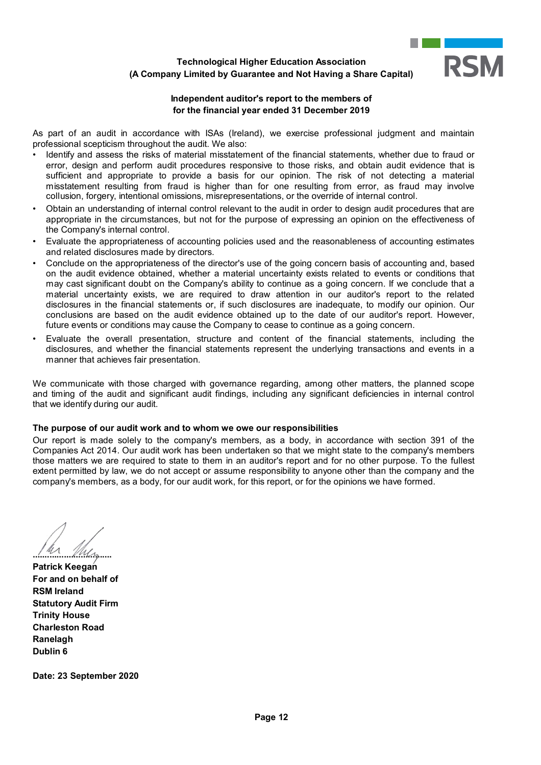

# **Independent auditor's report to the members of for the financial year ended 31 December 2019**

As part of an audit in accordance with ISAs (Ireland), we exercise professional judgment and maintain professional scepticism throughout the audit. We also:

- Identify and assess the risks of material misstatement of the financial statements, whether due to fraud or error, design and perform audit procedures responsive to those risks, and obtain audit evidence that is sufficient and appropriate to provide a basis for our opinion. The risk of not detecting a material misstatement resulting from fraud is higher than for one resulting from error, as fraud may involve collusion, forgery, intentional omissions, misrepresentations, or the override of internal control.
- Obtain an understanding of internal control relevant to the audit in order to design audit procedures that are appropriate in the circumstances, but not for the purpose of expressing an opinion on the effectiveness of the Company's internal control.
- Evaluate the appropriateness of accounting policies used and the reasonableness of accounting estimates and related disclosures made by directors.
- Conclude on the appropriateness of the director's use of the going concern basis of accounting and, based on the audit evidence obtained, whether a material uncertainty exists related to events or conditions that may cast significant doubt on the Company's ability to continue as a going concern. If we conclude that a material uncertainty exists, we are required to draw attention in our auditor's report to the related disclosures in the financial statements or, if such disclosures are inadequate, to modify our opinion. Our conclusions are based on the audit evidence obtained up to the date of our auditor's report. However, future events or conditions may cause the Company to cease to continue as a going concern.
- Evaluate the overall presentation, structure and content of the financial statements, including the disclosures, and whether the financial statements represent the underlying transactions and events in a manner that achieves fair presentation.

We communicate with those charged with governance regarding, among other matters, the planned scope and timing of the audit and significant audit findings, including any significant deficiencies in internal control that we identify during our audit.

#### **The purpose of our audit work and to whom we owe our responsibilities**

Our report is made solely to the company's members, as a body, in accordance with section 391 of the Companies Act 2014. Our audit work has been undertaken so that we might state to the company's members those matters we are required to state to them in an auditor's report and for no other purpose. To the fullest extent permitted by law, we do not accept or assume responsibility to anyone other than the company and the company's members, as a body, for our audit work, for this report, or for the opinions we have formed.

**.................................**

**Patrick Keegan For and on behalf of RSM Ireland Statutory Audit Firm Trinity House Charleston Road Ranelagh Dublin 6**

**Date: 23 September 2020**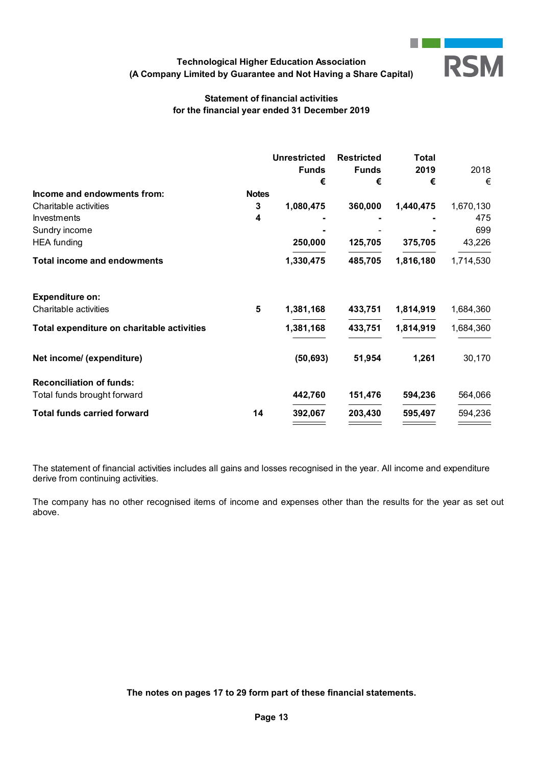

# **Statement of financial activities for the financial year ended 31 December 2019**

|                                            |              | <b>Unrestricted</b> | <b>Restricted</b> | <b>Total</b> |           |
|--------------------------------------------|--------------|---------------------|-------------------|--------------|-----------|
|                                            |              | <b>Funds</b>        | <b>Funds</b>      | 2019         | 2018      |
|                                            |              | €                   | €                 | €            | €         |
| Income and endowments from:                | <b>Notes</b> |                     |                   |              |           |
| Charitable activities                      | 3            | 1,080,475           | 360,000           | 1,440,475    | 1,670,130 |
| <b>Investments</b>                         | 4            |                     |                   |              | 475       |
| Sundry income                              |              |                     |                   |              | 699       |
| <b>HEA</b> funding                         |              | 250,000             | 125,705           | 375,705      | 43,226    |
| <b>Total income and endowments</b>         |              | 1,330,475           | 485,705           | 1,816,180    | 1,714,530 |
| <b>Expenditure on:</b>                     |              |                     |                   |              |           |
| Charitable activities                      | 5            | 1,381,168           | 433,751           | 1,814,919    | 1,684,360 |
| Total expenditure on charitable activities |              | 1,381,168           | 433,751           | 1,814,919    | 1,684,360 |
| Net income/ (expenditure)                  |              | (50, 693)           | 51,954            | 1,261        | 30,170    |
| <b>Reconciliation of funds:</b>            |              |                     |                   |              |           |
| Total funds brought forward                |              | 442,760             | 151,476           | 594,236      | 564,066   |
| <b>Total funds carried forward</b>         | 14           | 392,067             | 203,430           | 595,497      | 594,236   |
|                                            |              |                     |                   |              |           |

The statement of financial activities includes all gains and losses recognised in the year. All income and expenditure derive from continuing activities.

The company has no other recognised items of income and expenses other than the results for the year as set out above.

**The notes on pages 17 to 29 form part of these financial statements.**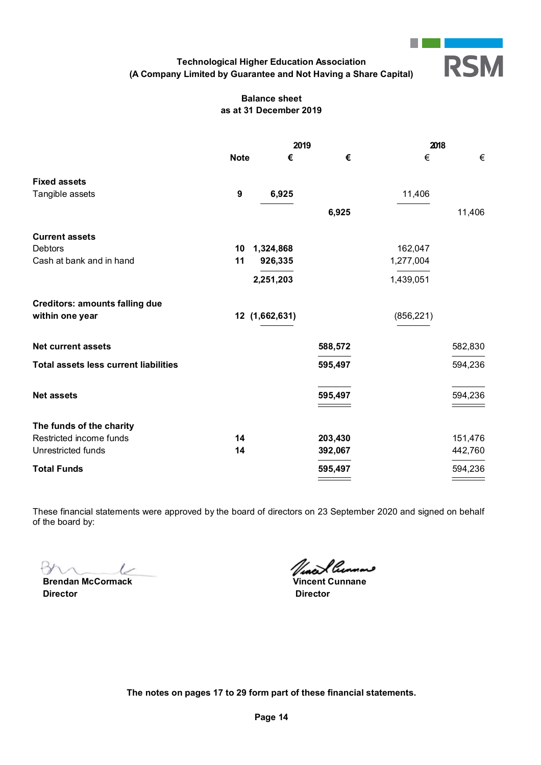

# **Balance sheet as at 31 December 2019**

|                                              | 2019             |                | 2018    |            |         |
|----------------------------------------------|------------------|----------------|---------|------------|---------|
|                                              | <b>Note</b>      | €              | €       | €          | €       |
| <b>Fixed assets</b>                          |                  |                |         |            |         |
| Tangible assets                              | $\boldsymbol{9}$ | 6,925          |         | 11,406     |         |
|                                              |                  |                | 6,925   |            | 11,406  |
| <b>Current assets</b>                        |                  |                |         |            |         |
| <b>Debtors</b>                               | 10               | 1,324,868      |         | 162,047    |         |
| Cash at bank and in hand                     | 11               | 926,335        |         | 1,277,004  |         |
|                                              |                  | 2,251,203      |         | 1,439,051  |         |
| <b>Creditors: amounts falling due</b>        |                  |                |         |            |         |
| within one year                              |                  | 12 (1,662,631) |         | (856, 221) |         |
| <b>Net current assets</b>                    |                  |                | 588,572 |            | 582,830 |
| <b>Total assets less current liabilities</b> |                  |                | 595,497 |            | 594,236 |
| <b>Net assets</b>                            |                  |                | 595,497 |            | 594,236 |
|                                              |                  |                |         |            |         |
| The funds of the charity                     |                  |                |         |            |         |
| Restricted income funds                      | 14               |                | 203,430 |            | 151,476 |
| Unrestricted funds                           | 14               |                | 392,067 |            | 442,760 |
| <b>Total Funds</b>                           |                  |                | 595,497 |            | 594,236 |
|                                              |                  |                |         |            |         |

These financial statements were approved by the board of directors on 23 September 2020 and signed on behalf of the board by:

 $Br - 4$ 

**Director Director**

**Brendan McCormack Vincent Cunnane**

**The notes on pages 17 to 29 form part of these financial statements.**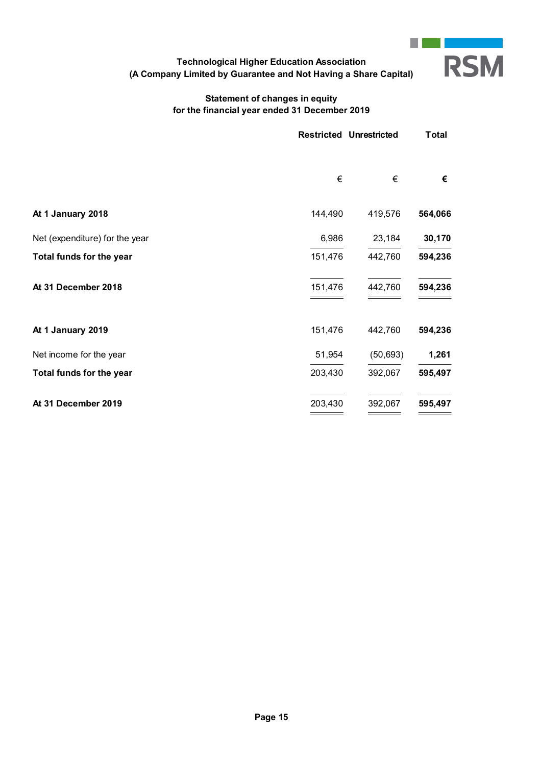

# **Statement of changes in equity for the financial year ended 31 December 2019**

|                                |         | <b>Restricted Unrestricted</b> | <b>Total</b> |
|--------------------------------|---------|--------------------------------|--------------|
|                                | €       | €                              | €            |
| At 1 January 2018              | 144,490 | 419,576                        | 564,066      |
| Net (expenditure) for the year | 6,986   | 23,184                         | 30,170       |
| Total funds for the year       | 151,476 | 442,760                        | 594,236      |
| At 31 December 2018            | 151,476 | 442,760                        | 594,236      |
| At 1 January 2019              | 151,476 | 442,760                        | 594,236      |
| Net income for the year        | 51,954  | (50, 693)                      | 1,261        |
| Total funds for the year       | 203,430 | 392,067                        | 595,497      |
| At 31 December 2019            | 203,430 | 392,067                        | 595,497      |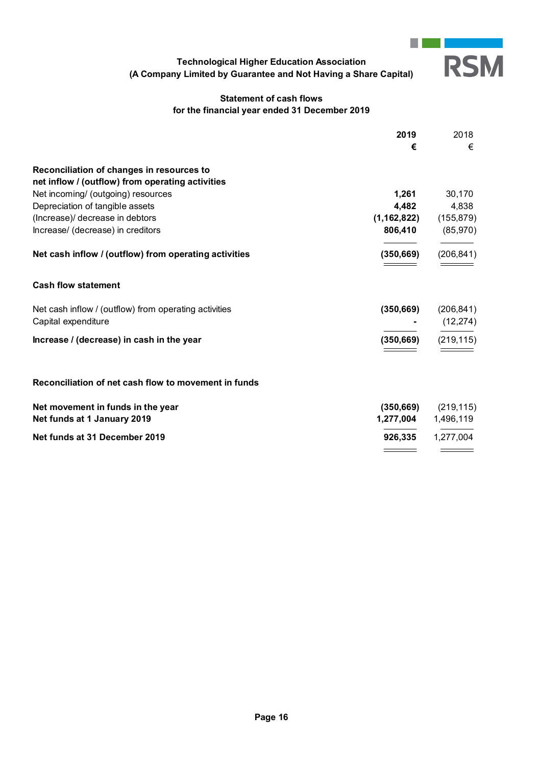

# **Statement of cash flows for the financial year ended 31 December 2019**

|                                                       | 2019       | 2018                      |
|-------------------------------------------------------|------------|---------------------------|
|                                                       | €          | €                         |
| Reconciliation of changes in resources to             |            |                           |
| net inflow / (outflow) from operating activities      |            |                           |
| Net incoming/ (outgoing) resources                    | 1,261      | 30,170                    |
| Depreciation of tangible assets                       | 4,482      | 4,838                     |
| (Increase)/ decrease in debtors                       |            | $(1,162,822)$ $(155,879)$ |
| Increase/ (decrease) in creditors                     |            | <b>806,410</b> (85,970)   |
| Net cash inflow / (outflow) from operating activities | (350, 669) | (206, 841)                |
| <b>Cash flow statement</b>                            |            |                           |
| Net cash inflow / (outflow) from operating activities | (350, 669) | (206, 841)                |
| Capital expenditure                                   |            | (12, 274)                 |
| Increase / (decrease) in cash in the year             | (350, 669) | (219, 115)                |
| Reconciliation of net cash flow to movement in funds  |            |                           |
| Net movement in funds in the year                     |            | $(350,669)$ $(219,115)$   |
| Net funds at 1 January 2019                           |            | 1,277,004 1,496,119       |
| Net funds at 31 December 2019                         |            | <b>926,335</b> 1,277,004  |
|                                                       |            |                           |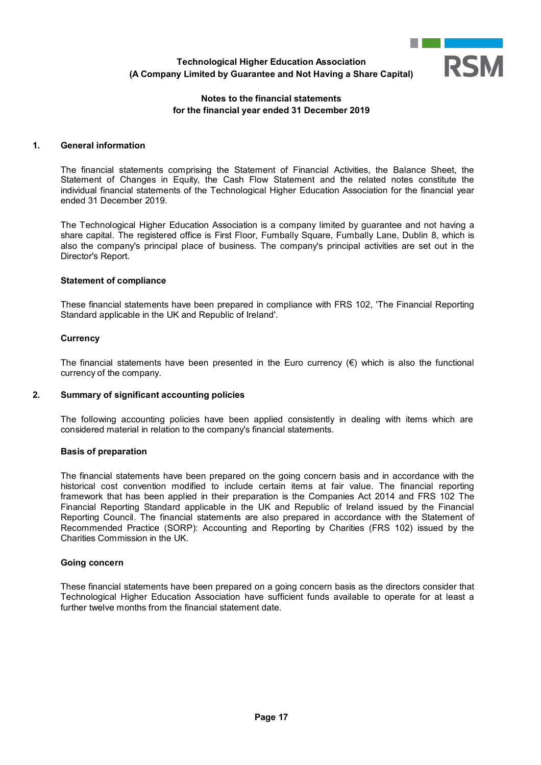

# **Notes to the financial statements for the financial year ended 31 December 2019**

### **1. General information**

The financial statements comprising the Statement of Financial Activities, the Balance Sheet, the Statement of Changes in Equity, the Cash Flow Statement and the related notes constitute the individual financial statements of the Technological Higher Education Association for the financial year ended 31 December 2019.

The Technological Higher Education Association is a company limited by guarantee and not having a share capital. The registered office is First Floor, Fumbally Square, Fumbally Lane, Dublin 8, which is also the company's principal place of business. The company's principal activities are set out in the Director's Report.

#### **Statement of compliance**

These financial statements have been prepared in compliance with FRS 102, 'The Financial Reporting Standard applicable in the UK and Republic of Ireland'.

#### **Currency**

The financial statements have been presented in the Euro currency  $(\epsilon)$  which is also the functional currency of the company.

# **2. Summary of significant accounting policies**

The following accounting policies have been applied consistently in dealing with items which are considered material in relation to the company's financial statements.

#### **Basis of preparation**

The financial statements have been prepared on the going concern basis and in accordance with the historical cost convention modified to include certain items at fair value. The financial reporting framework that has been applied in their preparation is the Companies Act 2014 and FRS 102 The Financial Reporting Standard applicable in the UK and Republic of Ireland issued by the Financial Reporting Council. The financial statements are also prepared in accordance with the Statement of Recommended Practice (SORP): Accounting and Reporting by Charities (FRS 102) issued by the Charities Commission in the UK.

#### **Going concern**

These financial statements have been prepared on a going concern basis as the directors consider that Technological Higher Education Association have sufficient funds available to operate for at least a further twelve months from the financial statement date.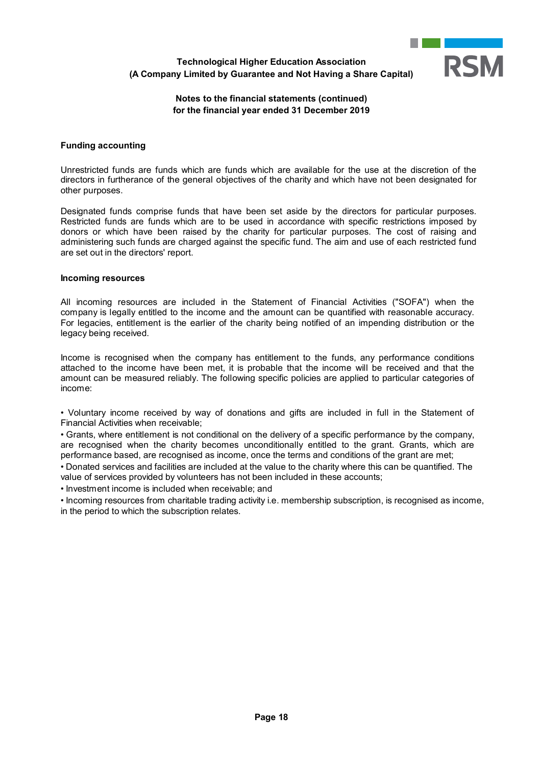

# **Notes to the financial statements (continued) for the financial year ended 31 December 2019**

### **Funding accounting**

Unrestricted funds are funds which are funds which are available for the use at the discretion of the directors in furtherance of the general objectives of the charity and which have not been designated for other purposes.

Designated funds comprise funds that have been set aside by the directors for particular purposes. Restricted funds are funds which are to be used in accordance with specific restrictions imposed by donors or which have been raised by the charity for particular purposes. The cost of raising and administering such funds are charged against the specific fund. The aim and use of each restricted fund are set out in the directors' report.

#### **Incoming resources**

All incoming resources are included in the Statement of Financial Activities ("SOFA") when the company is legally entitled to the income and the amount can be quantified with reasonable accuracy. For legacies, entitlement is the earlier of the charity being notified of an impending distribution or the legacy being received.

Income is recognised when the company has entitlement to the funds, any performance conditions attached to the income have been met, it is probable that the income will be received and that the amount can be measured reliably. The following specific policies are applied to particular categories of income:

• Voluntary income received by way of donations and gifts are included in full in the Statement of Financial Activities when receivable;

• Grants, where entitlement is not conditional on the delivery of a specific performance by the company, are recognised when the charity becomes unconditionally entitled to the grant. Grants, which are performance based, are recognised as income, once the terms and conditions of the grant are met;

• Donated services and facilities are included at the value to the charity where this can be quantified. The value of services provided by volunteers has not been included in these accounts;

• Investment income is included when receivable; and

• Incoming resources from charitable trading activity i.e. membership subscription, is recognised as income, in the period to which the subscription relates.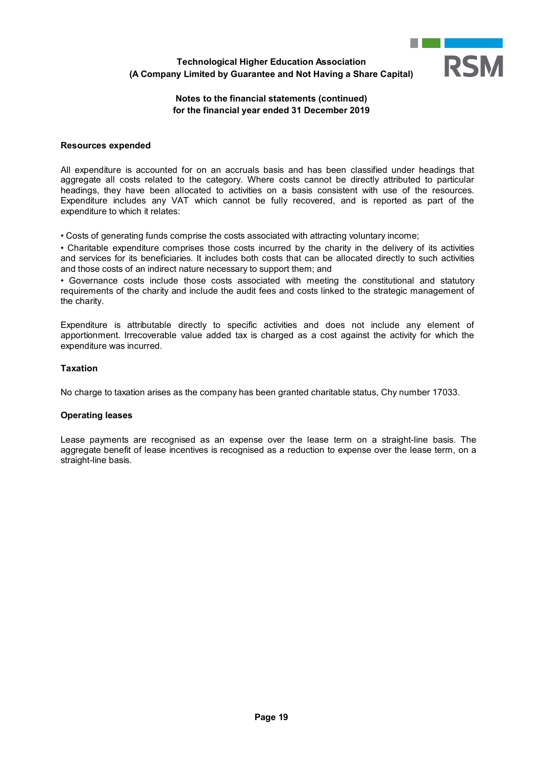

# **Notes to the financial statements (continued) for the financial year ended 31 December 2019**

#### **Resources expended**

All expenditure is accounted for on an accruals basis and has been classified under headings that aggregate all costs related to the category. Where costs cannot be directly attributed to particular headings, they have been allocated to activities on a basis consistent with use of the resources. Expenditure includes any VAT which cannot be fully recovered, and is reported as part of the expenditure to which it relates:

• Costs of generating funds comprise the costs associated with attracting voluntary income;

• Charitable expenditure comprises those costs incurred by the charity in the delivery of its activities and services for its beneficiaries. It includes both costs that can be allocated directly to such activities and those costs of an indirect nature necessary to support them; and

• Governance costs include those costs associated with meeting the constitutional and statutory requirements of the charity and include the audit fees and costs linked to the strategic management of the charity.

Expenditure is attributable directly to specific activities and does not include any element of apportionment. Irrecoverable value added tax is charged as a cost against the activity for which the expenditure was incurred.

#### **Taxation**

No charge to taxation arises as the company has been granted charitable status, Chy number 17033.

# **Operating leases**

Lease payments are recognised as an expense over the lease term on a straight-line basis. The aggregate benefit of lease incentives is recognised as a reduction to expense over the lease term, on a straight-line basis.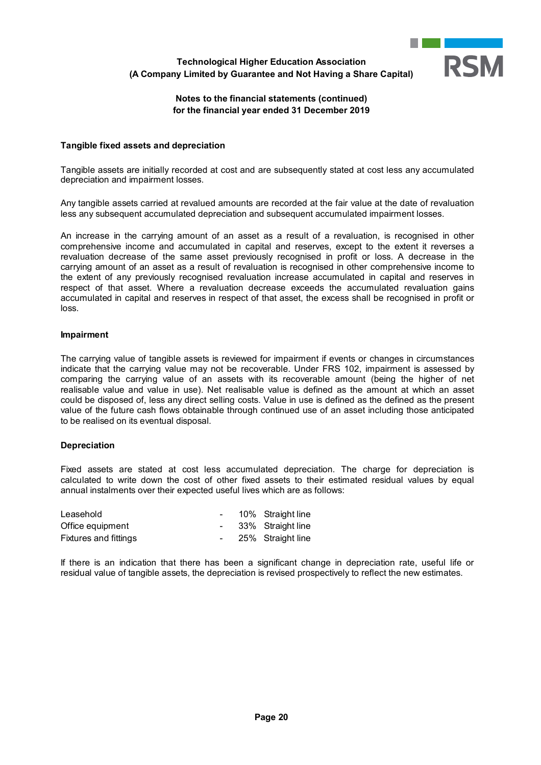

# **Notes to the financial statements (continued) for the financial year ended 31 December 2019**

#### **Tangible fixed assets and depreciation**

Tangible assets are initially recorded at cost and are subsequently stated at cost less any accumulated depreciation and impairment losses.

Any tangible assets carried at revalued amounts are recorded at the fair value at the date of revaluation less any subsequent accumulated depreciation and subsequent accumulated impairment losses.

An increase in the carrying amount of an asset as a result of a revaluation, is recognised in other comprehensive income and accumulated in capital and reserves, except to the extent it reverses a revaluation decrease of the same asset previously recognised in profit or loss. A decrease in the carrying amount of an asset as a result of revaluation is recognised in other comprehensive income to the extent of any previously recognised revaluation increase accumulated in capital and reserves in respect of that asset. Where a revaluation decrease exceeds the accumulated revaluation gains accumulated in capital and reserves in respect of that asset, the excess shall be recognised in profit or loss.

#### **Impairment**

The carrying value of tangible assets is reviewed for impairment if events or changes in circumstances indicate that the carrying value may not be recoverable. Under FRS 102, impairment is assessed by comparing the carrying value of an assets with its recoverable amount (being the higher of net realisable value and value in use). Net realisable value is defined as the amount at which an asset could be disposed of, less any direct selling costs. Value in use is defined as the defined as the present value of the future cash flows obtainable through continued use of an asset including those anticipated to be realised on its eventual disposal.

#### **Depreciation**

Fixed assets are stated at cost less accumulated depreciation. The charge for depreciation is calculated to write down the cost of other fixed assets to their estimated residual values by equal annual instalments over their expected useful lives which are as follows:

| Leasehold             |  | 10% Straight line |
|-----------------------|--|-------------------|
| Office equipment      |  | 33% Straight line |
| Fixtures and fittings |  | 25% Straight line |

If there is an indication that there has been a significant change in depreciation rate, useful life or residual value of tangible assets, the depreciation is revised prospectively to reflect the new estimates.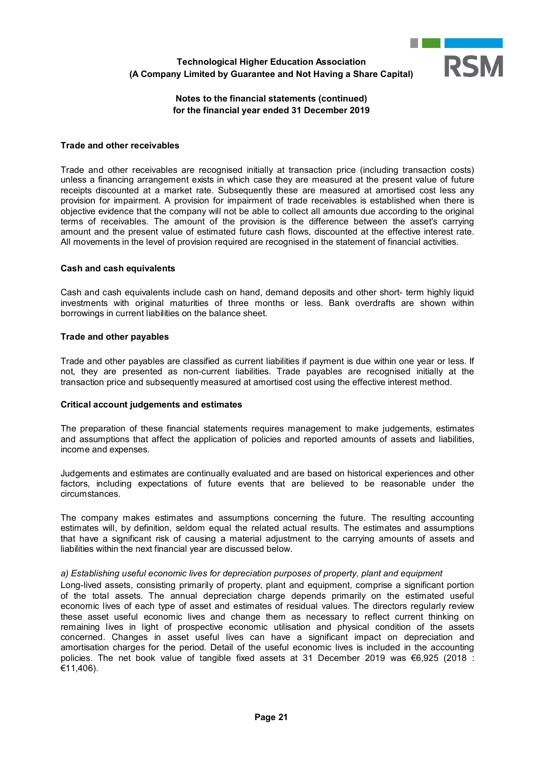

# **Notes to the financial statements (continued) for the financial year ended 31 December 2019**

#### **Trade and other receivables**

Trade and other receivables are recognised initially at transaction price (including transaction costs) unless a financing arrangement exists in which case they are measured at the present value of future receipts discounted at a market rate. Subsequently these are measured at amortised cost less any provision for impairment. A provision for impairment of trade receivables is established when there is objective evidence that the company will not be able to collect all amounts due according to the original terms of receivables. The amount of the provision is the difference between the asset's carrying amount and the present value of estimated future cash flows, discounted at the effective interest rate. All movements in the level of provision required are recognised in the statement of financial activities.

#### **Cash and cash equivalents**

Cash and cash equivalents include cash on hand, demand deposits and other short- term highly liquid investments with original maturities of three months or less. Bank overdrafts are shown within borrowings in current liabilities on the balance sheet.

#### **Trade and other payables**

Trade and other payables are classified as current liabilities if payment is due within one year or less. If not, they are presented as non-current liabilities. Trade payables are recognised initially at the transaction price and subsequently measured at amortised cost using the effective interest method.

# **Critical account judgements and estimates**

The preparation of these financial statements requires management to make judgements, estimates and assumptions that affect the application of policies and reported amounts of assets and liabilities, income and expenses.

Judgements and estimates are continually evaluated and are based on historical experiences and other factors, including expectations of future events that are believed to be reasonable under the circumstances.

The company makes estimates and assumptions concerning the future. The resulting accounting estimates will, by definition, seldom equal the related actual results. The estimates and assumptions that have a significant risk of causing a material adjustment to the carrying amounts of assets and liabilities within the next financial year are discussed below.

#### *a) Establishing useful economic lives for depreciation purposes of property, plant and equipment*

Long-lived assets, consisting primarily of property, plant and equipment, comprise a significant portion of the total assets. The annual depreciation charge depends primarily on the estimated useful economic lives of each type of asset and estimates of residual values. The directors regularly review these asset useful economic lives and change them as necessary to reflect current thinking on remaining lives in light of prospective economic utilisation and physical condition of the assets concerned. Changes in asset useful lives can have a significant impact on depreciation and amortisation charges for the period. Detail of the useful economic lives is included in the accounting policies. The net book value of tangible fixed assets at 31 December 2019 was €6,925 (2018 : €11,406).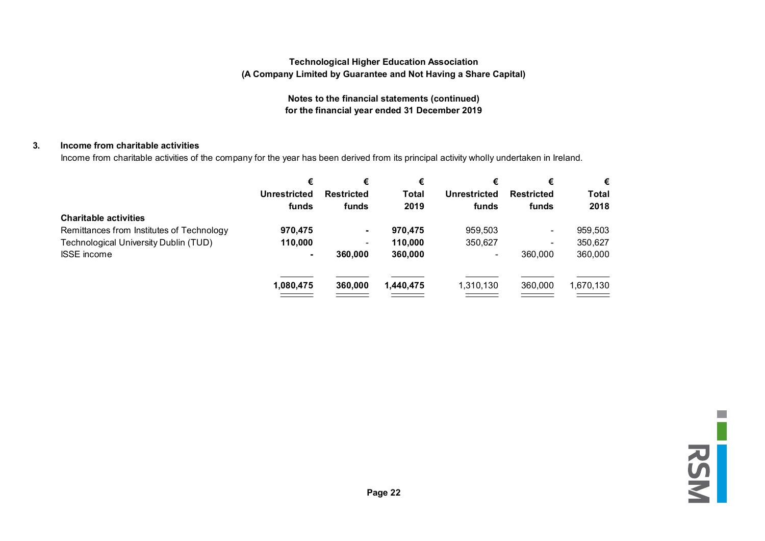# **Notes to the financial statements (continued)for the financial year ended 31 December 2019**

# **3. Income from charitable activities**

Income from charitable activities of the company for the year has been derived from its principal activity wholly undertaken in Ireland.

|                                           | €              | €                 | €         | €            | €                 | €            |
|-------------------------------------------|----------------|-------------------|-----------|--------------|-------------------|--------------|
|                                           | Unrestricted   | <b>Restricted</b> | Total     | Unrestricted | <b>Restricted</b> | <b>Total</b> |
|                                           | funds          | funds             | 2019      | funds        | funds             | 2018         |
| <b>Charitable activities</b>              |                |                   |           |              |                   |              |
| Remittances from Institutes of Technology | 970,475        | ۰.                | 970,475   | 959,503      | $\sim$            | 959,503      |
| Technological University Dublin (TUD)     | 110,000        | ۰                 | 110,000   | 350,627      | ۰                 | 350,627      |
| <b>ISSE</b> income                        | $\blacksquare$ | 360,000           | 360,000   |              | 360,000           | 360,000      |
|                                           |                |                   |           |              |                   |              |
|                                           | 1,080,475      | 360,000           | 1,440,475 | 1,310,130    | 360,000           | 1,670,130    |
|                                           |                |                   |           |              |                   |              |

× **RSN**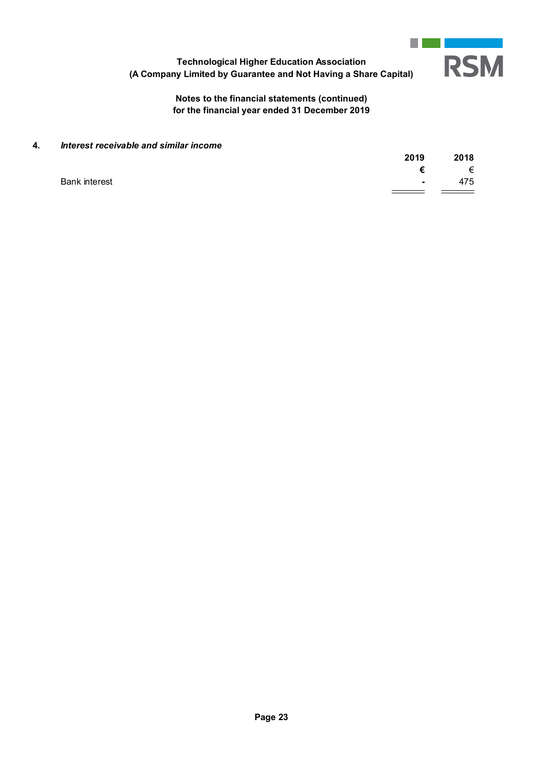



# **Notes to the financial statements (continued) for the financial year ended 31 December 2019**

# **4.** *Interest receivable and similar income*

|                      | 2019   | 2018 |
|----------------------|--------|------|
|                      |        | €    |
| <b>Bank interest</b> | $\sim$ | 475  |
|                      |        |      |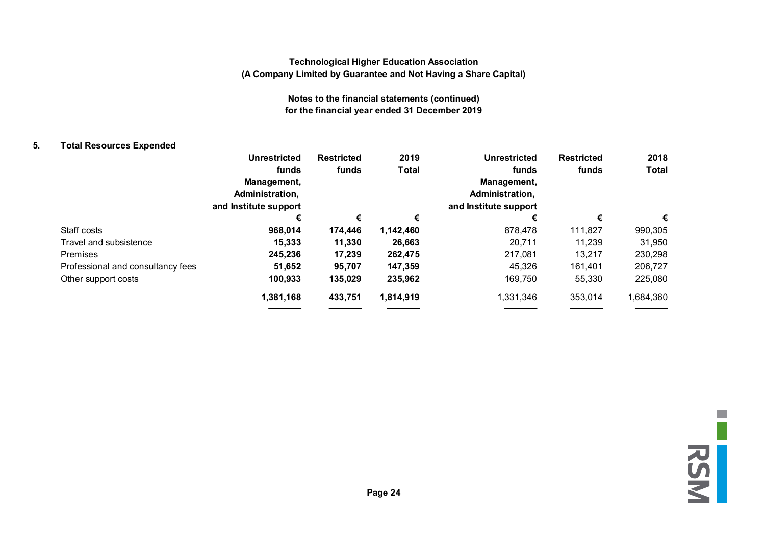**Notes to the financial statements (continued)for the financial year ended 31 December 2019**

# **5. Total Resources Expended**

| Unrestricted          | <b>Restricted</b> | 2019         | Unrestricted          | <b>Restricted</b> | 2018         |
|-----------------------|-------------------|--------------|-----------------------|-------------------|--------------|
| funds                 | funds             | <b>Total</b> | funds                 | funds             | <b>Total</b> |
| Management,           |                   |              | Management,           |                   |              |
| Administration,       |                   |              | Administration,       |                   |              |
| and Institute support |                   |              | and Institute support |                   |              |
| €                     | €                 | €            | €                     | €                 | €            |
| 968,014               | 174,446           | 1,142,460    | 878,478               | 111.827           | 990,305      |
| 15,333                | 11,330            | 26,663       | 20,711                | 11,239            | 31,950       |
| 245.236               | 17.239            | 262,475      | 217.081               | 13.217            | 230,298      |
| 51,652                | 95,707            | 147,359      | 45,326                | 161,401           | 206,727      |
| 100,933               | 135,029           | 235,962      | 169,750               | 55,330            | 225,080      |
| 1,381,168             | 433,751           | 1,814,919    | 1,331,346             | 353,014           | 1,684,360    |
|                       |                   |              |                       |                   |              |

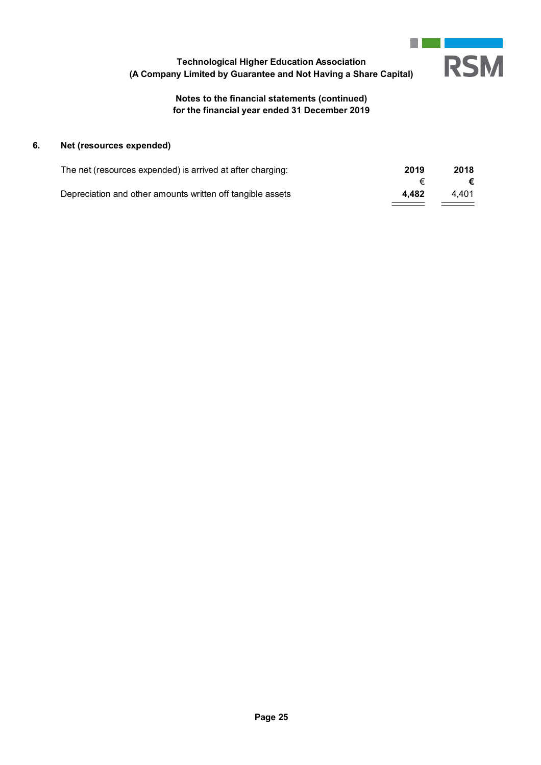

# **Notes to the financial statements (continued) for the financial year ended 31 December 2019**

# **6. Net (resources expended)**

| The net (resources expended) is arrived at after charging: | 2019  | 2018<br>€ |
|------------------------------------------------------------|-------|-----------|
| Depreciation and other amounts written off tangible assets | 4.482 | 4.401     |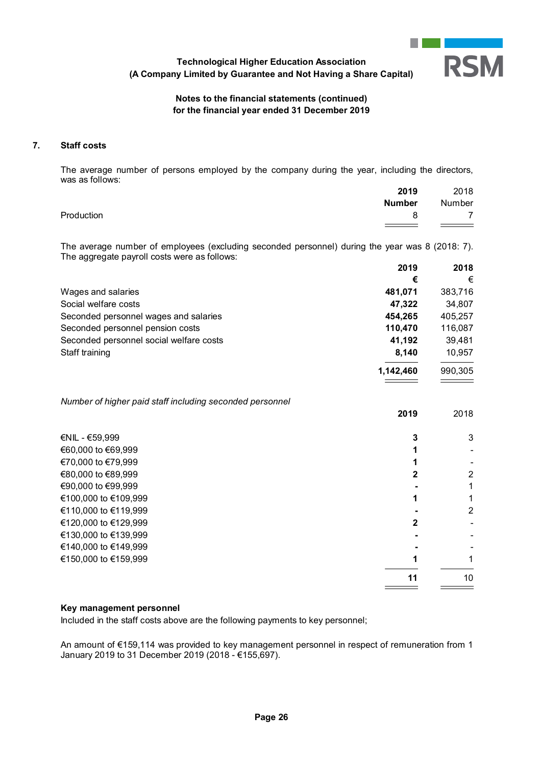

 $\overline{\phantom{a}}$ 

# **Notes to the financial statements (continued) for the financial year ended 31 December 2019**

# **7. Staff costs**

The average number of persons employed by the company during the year, including the directors, was as follows:

|            | 2019          | 2018           |
|------------|---------------|----------------|
|            | <b>Number</b> | <b>Number</b>  |
| Production | 8             | $\overline{7}$ |
|            |               |                |

The average number of employees (excluding seconded personnel) during the year was 8 (2018: 7). The aggregate payroll costs were as follows:

|                                         | 2019      | 2018    |
|-----------------------------------------|-----------|---------|
|                                         | €         | €       |
| Wages and salaries                      | 481.071   | 383,716 |
| Social welfare costs                    | 47,322    | 34,807  |
| Seconded personnel wages and salaries   | 454,265   | 405,257 |
| Seconded personnel pension costs        | 110,470   | 116,087 |
| Seconded personnel social welfare costs | 41,192    | 39,481  |
| Staff training                          | 8,140     | 10,957  |
|                                         | 1,142,460 | 990,305 |

*Number of higher paid staff including seconded personnel*

|                      | 2019 | 2018           |
|----------------------|------|----------------|
|                      |      |                |
| €NIL - €59,999       |      | 3              |
| €60,000 to €69,999   |      |                |
| €70,000 to €79,999   |      |                |
| €80,000 to €89,999   |      | $\overline{2}$ |
| €90,000 to €99,999   |      |                |
| €100,000 to €109,999 |      |                |
| €110,000 to €119,999 |      | 2              |
| €120,000 to €129,999 |      |                |
| €130,000 to €139,999 |      |                |
| €140,000 to €149,999 |      |                |
| €150,000 to €159,999 |      |                |
|                      | 11   | 10             |
|                      |      |                |

# **Key management personnel**

Included in the staff costs above are the following payments to key personnel;

An amount of €159,114 was provided to key management personnel in respect of remuneration from 1 January 2019 to 31 December 2019 (2018 - €155,697).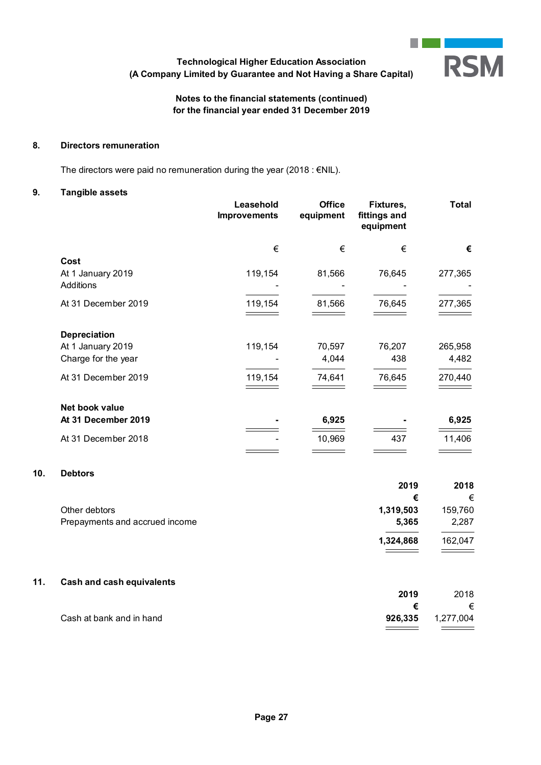



k.

# **Notes to the financial statements (continued) for the financial year ended 31 December 2019**

### **8. Directors remuneration**

The directors were paid no remuneration during the year (2018 : €NIL).

#### **9. Tangible assets**

|                     | Leasehold<br><b>Improvements</b> | <b>Office</b><br>equipment | Fixtures,<br>fittings and<br>equipment | <b>Total</b> |
|---------------------|----------------------------------|----------------------------|----------------------------------------|--------------|
|                     | €                                | €                          | €                                      | €            |
| Cost                |                                  |                            |                                        |              |
| At 1 January 2019   | 119,154                          | 81,566                     | 76,645                                 | 277,365      |
| Additions           |                                  |                            |                                        |              |
| At 31 December 2019 | 119,154                          | 81,566                     | 76,645                                 | 277,365      |
|                     |                                  |                            |                                        |              |
| <b>Depreciation</b> |                                  |                            |                                        |              |
| At 1 January 2019   | 119,154                          | 70,597                     | 76,207                                 | 265,958      |
| Charge for the year |                                  | 4,044                      | 438                                    | 4,482        |
| At 31 December 2019 | 119,154                          | 74,641                     | 76,645                                 | 270,440      |
|                     |                                  |                            |                                        |              |
| Net book value      |                                  |                            |                                        |              |
| At 31 December 2019 |                                  | 6,925                      |                                        | 6,925        |
| At 31 December 2018 |                                  | 10,969                     | 437                                    | 11,406       |
|                     |                                  |                            |                                        |              |
| <b>Debtors</b>      |                                  |                            |                                        |              |
|                     |                                  |                            | 2010                                   | <b>2010</b>  |

|                                | 2019      | 2018    |
|--------------------------------|-----------|---------|
|                                | €         | €       |
| Other debtors                  | 1,319,503 | 159,760 |
| Prepayments and accrued income | 5.365     | 2,287   |
|                                | 1,324,868 | 162,047 |
|                                |           |         |

# **11. Cash and cash equivalents**

**10.** 

|                          | 2019 | 2018                     |
|--------------------------|------|--------------------------|
|                          |      | €                        |
| Cash at bank and in hand |      | <b>926,335</b> 1,277,004 |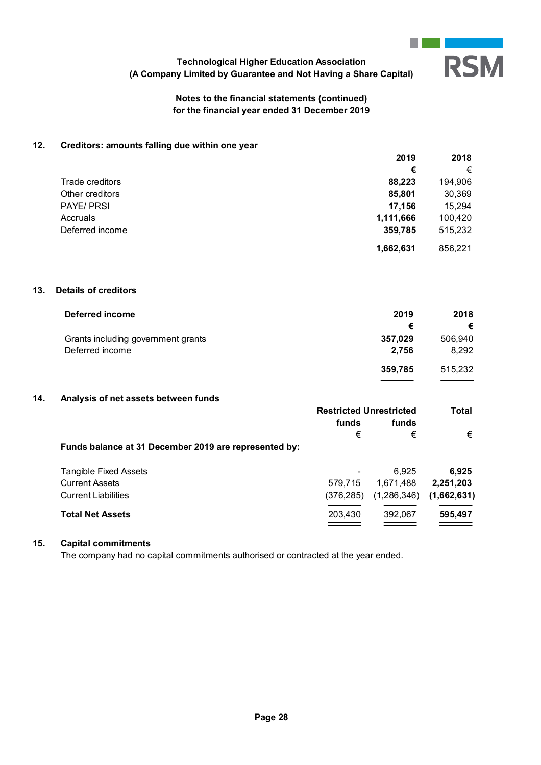

# **Notes to the financial statements (continued) for the financial year ended 31 December 2019**

# **12. Creditors: amounts falling due within one year**

|                  | 2019      | 2018    |
|------------------|-----------|---------|
|                  | €         | €       |
| Trade creditors  | 88,223    | 194,906 |
| Other creditors  | 85,801    | 30,369  |
| <b>PAYE/PRSI</b> | 17,156    | 15,294  |
| Accruals         | 1,111,666 | 100,420 |
| Deferred income  | 359,785   | 515,232 |
|                  | 1,662,631 | 856,221 |

#### **13. Details of creditors**

| Deferred income                    | 2019    | 2018    |
|------------------------------------|---------|---------|
|                                    |         | €       |
| Grants including government grants | 357,029 | 506,940 |
| Deferred income                    | 2,756   | 8,292   |
|                                    | 359,785 | 515,232 |
|                                    |         |         |

### **14. Analysis of net assets between funds**

|                                                       |                | <b>Restricted Unrestricted</b> |             |
|-------------------------------------------------------|----------------|--------------------------------|-------------|
|                                                       | funds          | funds                          |             |
|                                                       | €              | €                              | €           |
| Funds balance at 31 December 2019 are represented by: |                |                                |             |
| <b>Tangible Fixed Assets</b>                          | $\overline{a}$ | 6.925                          | 6.925       |
| <b>Current Assets</b>                                 | 579.715        | 1.671.488                      | 2,251,203   |
| <b>Current Liabilities</b>                            | (376, 285)     | (1,286,346)                    | (1,662,631) |
| <b>Total Net Assets</b>                               | 203,430        | 392.067                        | 595,497     |
|                                                       |                |                                |             |

# **15. Capital commitments**

The company had no capital commitments authorised or contracted at the year ended.